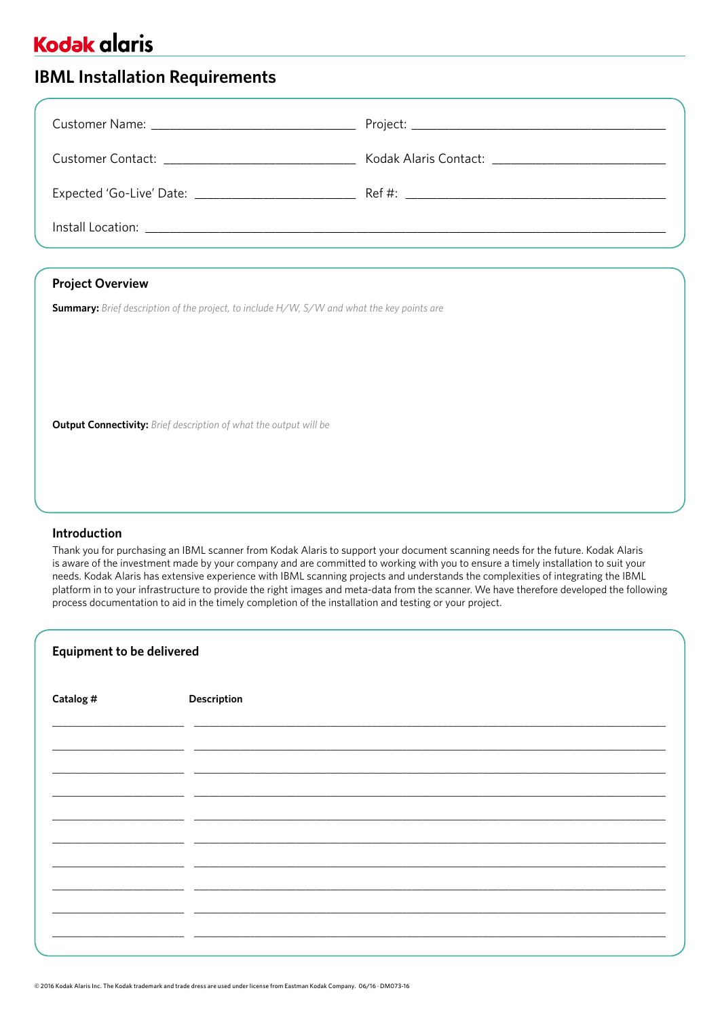# **Kodak alaris**

# **IBML Installation Requirements**

### **Project Overview**

**Summary:** *Brief description of the project, to include H/W, S/W and what the key points are*

**Output Connectivity:** *Brief description of what the output will be*

#### **Introduction**

Thank you for purchasing an IBML scanner from Kodak Alaris to support your document scanning needs for the future. Kodak Alaris is aware of the investment made by your company and are committed to working with you to ensure a timely installation to suit your needs. Kodak Alaris has extensive experience with IBML scanning projects and understands the complexities of integrating the IBML platform in to your infrastructure to provide the right images and meta-data from the scanner. We have therefore developed the following process documentation to aid in the timely completion of the installation and testing or your project.

| <b>Equipment to be delivered</b> |                          |  |  |
|----------------------------------|--------------------------|--|--|
| Catalog #                        | <b>Description</b>       |  |  |
|                                  |                          |  |  |
| $-$                              | __ _                     |  |  |
|                                  |                          |  |  |
|                                  | $\overline{\phantom{a}}$ |  |  |
|                                  |                          |  |  |
|                                  | _ _                      |  |  |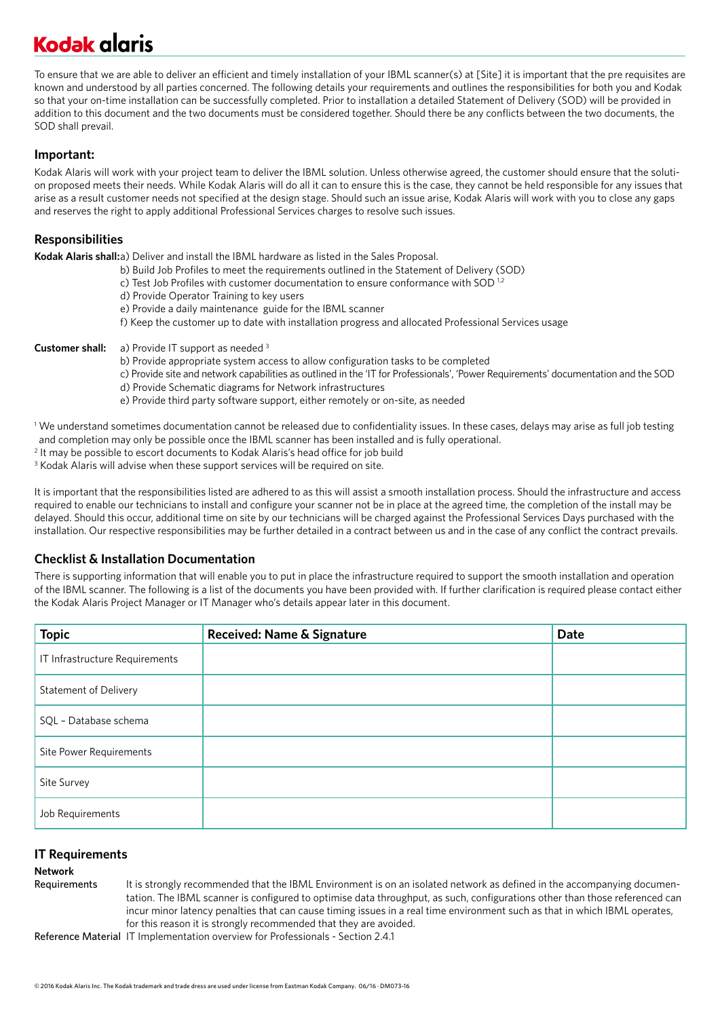# **Kodak glaris**

To ensure that we are able to deliver an efficient and timely installation of your IBML scanner(s) at [Site] it is important that the pre requisites are known and understood by all parties concerned. The following details your requirements and outlines the responsibilities for both you and Kodak so that your on-time installation can be successfully completed. Prior to installation a detailed Statement of Delivery (SOD) will be provided in addition to this document and the two documents must be considered together. Should there be any conflicts between the two documents, the SOD shall prevail.

#### **Important:**

Kodak Alaris will work with your project team to deliver the IBML solution. Unless otherwise agreed, the customer should ensure that the solution proposed meets their needs. While Kodak Alaris will do all it can to ensure this is the case, they cannot be held responsible for any issues that arise as a result customer needs not specified at the design stage. Should such an issue arise, Kodak Alaris will work with you to close any gaps and reserves the right to apply additional Professional Services charges to resolve such issues.

### **Responsibilities**

**Kodak Alaris shall:**a) Deliver and install the IBML hardware as listed in the Sales Proposal.

- b) Build Job Profiles to meet the requirements outlined in the Statement of Delivery (SOD)
- c) Test Job Profiles with customer documentation to ensure conformance with SOD<sup>1,2</sup>
- d) Provide Operator Training to key users
- e) Provide a daily maintenance guide for the IBML scanner
- f) Keep the customer up to date with installation progress and allocated Professional Services usage

**Customer shall:** a) Provide IT support as needed 3

- b) Provide appropriate system access to allow configuration tasks to be completed
- c) Provide site and network capabilities as outlined in the 'IT for Professionals', 'Power Requirements' documentation and the SOD d) Provide Schematic diagrams for Network infrastructures
	- e) Provide third party software support, either remotely or on-site, as needed

<sup>1</sup> We understand sometimes documentation cannot be released due to confidentiality issues. In these cases, delays may arise as full job testing and completion may only be possible once the IBML scanner has been installed and is fully operational.

- <sup>2</sup> It may be possible to escort documents to Kodak Alaris's head office for job build
- <sup>3</sup> Kodak Alaris will advise when these support services will be required on site.

It is important that the responsibilities listed are adhered to as this will assist a smooth installation process. Should the infrastructure and access required to enable our technicians to install and configure your scanner not be in place at the agreed time, the completion of the install may be delayed. Should this occur, additional time on site by our technicians will be charged against the Professional Services Days purchased with the installation. Our respective responsibilities may be further detailed in a contract between us and in the case of any conflict the contract prevails.

### **Checklist & Installation Documentation**

There is supporting information that will enable you to put in place the infrastructure required to support the smooth installation and operation of the IBML scanner. The following is a list of the documents you have been provided with. If further clarification is required please contact either the Kodak Alaris Project Manager or IT Manager who's details appear later in this document.

| <b>Topic</b>                   | Received: Name & Signature | Date |
|--------------------------------|----------------------------|------|
| IT Infrastructure Requirements |                            |      |
| <b>Statement of Delivery</b>   |                            |      |
| SQL - Database schema          |                            |      |
| Site Power Requirements        |                            |      |
| Site Survey                    |                            |      |
| Job Requirements               |                            |      |

#### **IT Requirements**

#### **Network**

Requirements It is strongly recommended that the IBML Environment is on an isolated network as defined in the accompanying documentation. The IBML scanner is configured to optimise data throughput, as such, configurations other than those referenced can incur minor latency penalties that can cause timing issues in a real time environment such as that in which IBML operates, for this reason it is strongly recommended that they are avoided.

Reference Material IT Implementation overview for Professionals - Section 2.4.1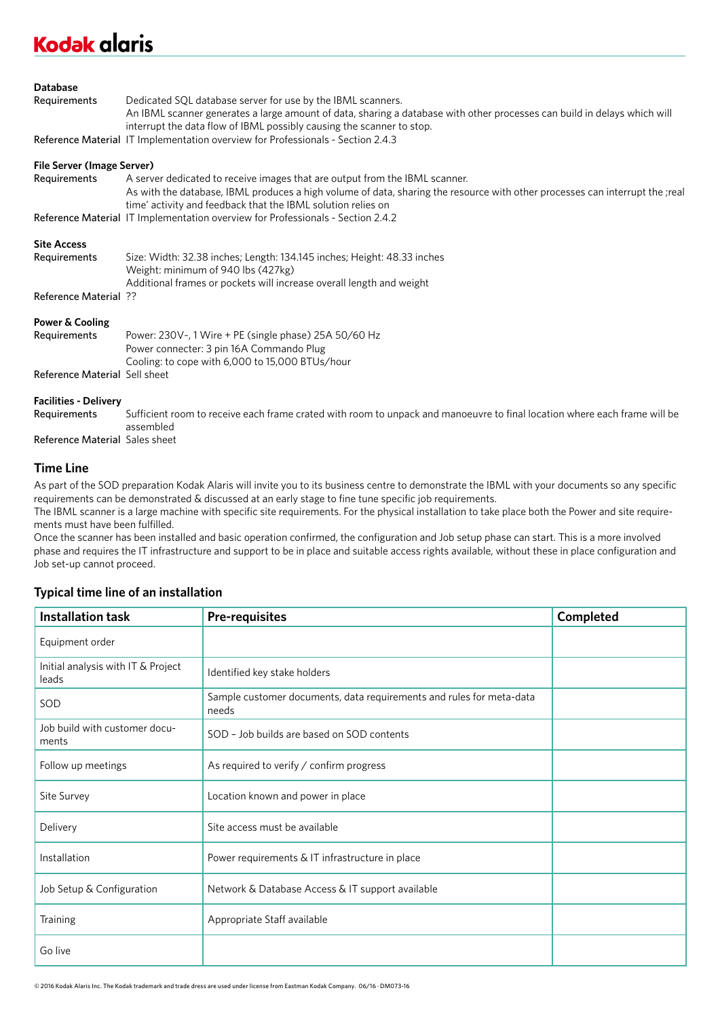# **Kodak alaris**

**Database**

| Database                                     |                                                                                                                                                                                                                                                                              |
|----------------------------------------------|------------------------------------------------------------------------------------------------------------------------------------------------------------------------------------------------------------------------------------------------------------------------------|
| Requirements                                 | Dedicated SQL database server for use by the IBML scanners.<br>An IBML scanner generates a large amount of data, sharing a database with other processes can build in delays which will<br>interrupt the data flow of IBML possibly causing the scanner to stop.             |
|                                              | Reference Material IT Implementation overview for Professionals - Section 2.4.3                                                                                                                                                                                              |
| File Server (Image Server)                   |                                                                                                                                                                                                                                                                              |
| Requirements                                 | A server dedicated to receive images that are output from the IBML scanner.<br>As with the database, IBML produces a high volume of data, sharing the resource with other processes can interrupt the ; real<br>time' activity and feedback that the IBML solution relies on |
|                                              | Reference Material IT Implementation overview for Professionals - Section 2.4.2                                                                                                                                                                                              |
| <b>Site Access</b>                           |                                                                                                                                                                                                                                                                              |
| Requirements                                 | Size: Width: 32.38 inches; Length: 134.145 inches; Height: 48.33 inches<br>Weight: minimum of 940 lbs (427kg)<br>Additional frames or pockets will increase overall length and weight                                                                                        |
| Reference Material ??                        |                                                                                                                                                                                                                                                                              |
| Power & Cooling<br>Requirements              | Power: 230V~, 1 Wire + PE (single phase) 25A 50/60 Hz                                                                                                                                                                                                                        |
| Reference Material Sell sheet                | Power connecter: 3 pin 16A Commando Plug<br>Cooling: to cope with 6,000 to 15,000 BTUs/hour                                                                                                                                                                                  |
|                                              |                                                                                                                                                                                                                                                                              |
| <b>Facilities - Delivery</b><br>Requirements | Sufficient room to receive each frame crated with room to unpack and manoeuvre to final location where each frame will be                                                                                                                                                    |

Requirements Sufficient room to receive each frame crated with room to unpack and manoeuvre to final location where each frame will be assembled Reference Material Sales sheet

### **Time Line**

As part of the SOD preparation Kodak Alaris will invite you to its business centre to demonstrate the IBML with your documents so any specific requirements can be demonstrated & discussed at an early stage to fine tune specific job requirements.

The IBML scanner is a large machine with specific site requirements. For the physical installation to take place both the Power and site requirements must have been fulfilled.

Once the scanner has been installed and basic operation confirmed, the configuration and Job setup phase can start. This is a more involved phase and requires the IT infrastructure and support to be in place and suitable access rights available, without these in place configuration and Job set-up cannot proceed.

| Typical time line of an installation |  |
|--------------------------------------|--|
|--------------------------------------|--|

| <b>Installation task</b>                    | <b>Pre-requisites</b>                                                         | Completed |
|---------------------------------------------|-------------------------------------------------------------------------------|-----------|
| Equipment order                             |                                                                               |           |
| Initial analysis with IT & Project<br>leads | Identified key stake holders                                                  |           |
| SOD                                         | Sample customer documents, data requirements and rules for meta-data<br>needs |           |
| Job build with customer docu-<br>ments      | SOD - Job builds are based on SOD contents                                    |           |
| Follow up meetings                          | As required to verify / confirm progress                                      |           |
| Site Survey                                 | Location known and power in place                                             |           |
| Delivery                                    | Site access must be available                                                 |           |
| Installation                                | Power requirements & IT infrastructure in place                               |           |
| Job Setup & Configuration                   | Network & Database Access & IT support available                              |           |
| Training                                    | Appropriate Staff available                                                   |           |
| Go live                                     |                                                                               |           |